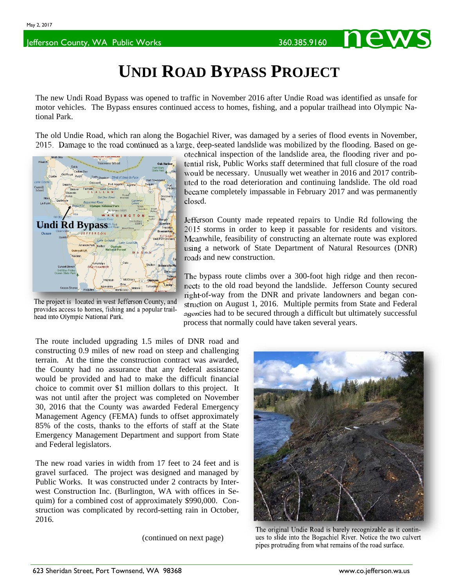## **UNDI ROAD BYPASS PROJECT**

The new Undi Road Bypass was opened to traffic in November 2016 after Undie Road was identified as unsafe for motor vehicles. The Bypass ensures continued access to homes, fishing, and a popular trailhead into Olympic National Park.

The old Undie Road, which ran along the Bogachiel River, was damaged by a series of flood events in November, 2015. Damage to the road continued as a large, deep-seated landslide was mobilized by the flooding. Based on ge-



The project is located in west Jefferson County, and provides access to homes, fishing and a popular trailhead into Olympic National Park.

otechnical inspection of the landslide area, the flooding river and potential risk, Public Works staff determined that full closure of the road would be necessary. Unusually wet weather in 2016 and 2017 contributed to the road deterioration and continuing landslide. The old road became completely impassable in February 2017 and was permanently closed.

Jefferson County made repeated repairs to Undie Rd following the 2015 storms in order to keep it passable for residents and visitors. Meanwhile, feasibility of constructing an alternate route was explored using a network of State Department of Natural Resources (DNR) roads and new construction.

The bypass route climbs over a 300-foot high ridge and then reconnects to the old road beyond the landslide. Jefferson County secured right-of-way from the DNR and private landowners and began construction on August 1, 2016. Multiple permits from State and Federal agencies had to be secured through a difficult but ultimately successful process that normally could have taken several years.

The route included upgrading 1.5 miles of DNR road and constructing 0.9 miles of new road on steep and challenging terrain. At the time the construction contract was awarded, the County had no assurance that any federal assistance would be provided and had to make the difficult financial choice to commit over \$1 million dollars to this project. It was not until after the project was completed on November 30, 2016 that the County was awarded Federal Emergency Management Agency (FEMA) funds to offset approximately 85% of the costs, thanks to the efforts of staff at the State Emergency Management Department and support from State and Federal legislators.

The new road varies in width from 17 feet to 24 feet and is gravel surfaced. The project was designed and managed by Public Works. It was constructed under 2 contracts by Interwest Construction Inc. (Burlington, WA with offices in Sequim) for a combined cost of approximately \$990,000. Construction was complicated by record-setting rain in October, 2016.

(continued on next page)



The original Undie Road is barely recognizable as it continues to slide into the Bogachiel River. Notice the two culvert pipes protruding from what remains of the road surface.